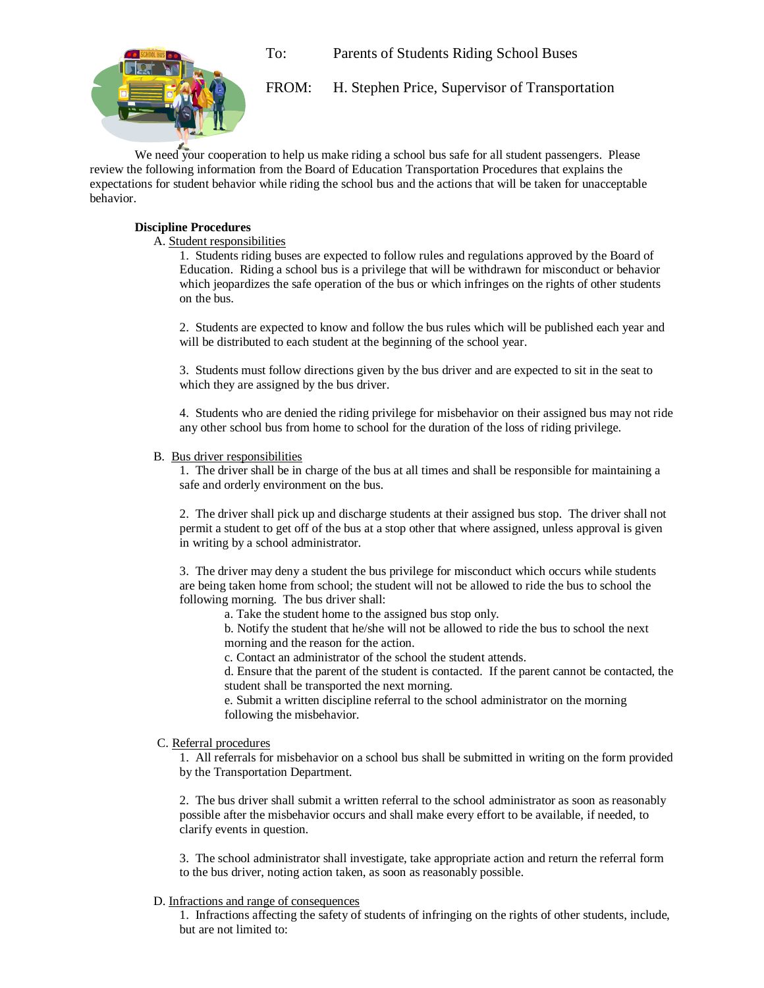To: Parents of Students Riding School Buses



FROM: H. Stephen Price, Supervisor of Transportation

We need your cooperation to help us make riding a school bus safe for all student passengers. Please review the following information from the Board of Education Transportation Procedures that explains the expectations for student behavior while riding the school bus and the actions that will be taken for unacceptable behavior.

# **Discipline Procedures**

## A. Student responsibilities

1. Students riding buses are expected to follow rules and regulations approved by the Board of Education. Riding a school bus is a privilege that will be withdrawn for misconduct or behavior which jeopardizes the safe operation of the bus or which infringes on the rights of other students on the bus.

2. Students are expected to know and follow the bus rules which will be published each year and will be distributed to each student at the beginning of the school year.

3. Students must follow directions given by the bus driver and are expected to sit in the seat to which they are assigned by the bus driver.

4. Students who are denied the riding privilege for misbehavior on their assigned bus may not ride any other school bus from home to school for the duration of the loss of riding privilege.

### B. Bus driver responsibilities

1. The driver shall be in charge of the bus at all times and shall be responsible for maintaining a safe and orderly environment on the bus.

2. The driver shall pick up and discharge students at their assigned bus stop. The driver shall not permit a student to get off of the bus at a stop other that where assigned, unless approval is given in writing by a school administrator.

3. The driver may deny a student the bus privilege for misconduct which occurs while students are being taken home from school; the student will not be allowed to ride the bus to school the following morning. The bus driver shall:

a. Take the student home to the assigned bus stop only.

b. Notify the student that he/she will not be allowed to ride the bus to school the next morning and the reason for the action.

c. Contact an administrator of the school the student attends.

d. Ensure that the parent of the student is contacted. If the parent cannot be contacted, the student shall be transported the next morning.

e. Submit a written discipline referral to the school administrator on the morning following the misbehavior.

## C. Referral procedures

1. All referrals for misbehavior on a school bus shall be submitted in writing on the form provided by the Transportation Department.

2. The bus driver shall submit a written referral to the school administrator as soon as reasonably possible after the misbehavior occurs and shall make every effort to be available, if needed, to clarify events in question.

3. The school administrator shall investigate, take appropriate action and return the referral form to the bus driver, noting action taken, as soon as reasonably possible.

#### D. Infractions and range of consequences

1. Infractions affecting the safety of students of infringing on the rights of other students, include, but are not limited to: